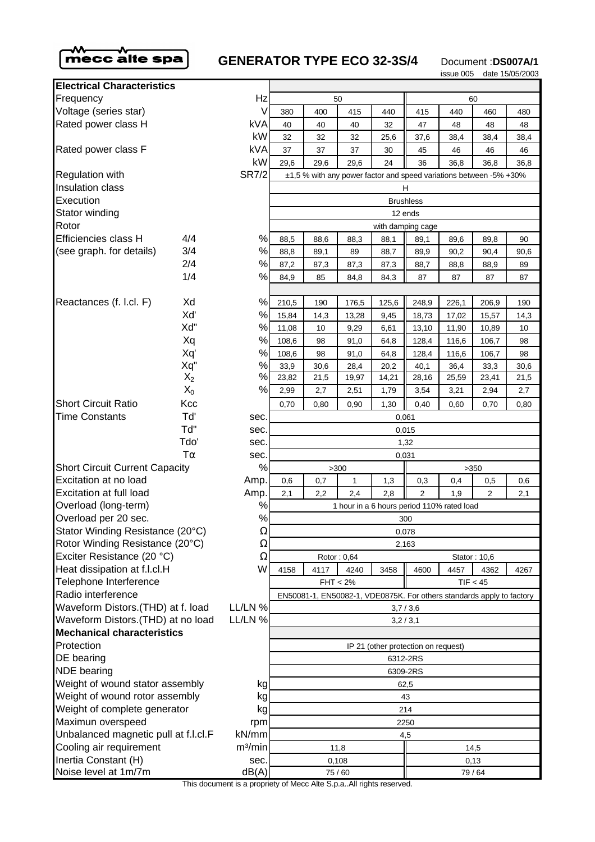

# **GENERATOR TYPE ECO 32-3S/4** Document :DS007A/1

issue 005 date 15/05/2003

| <b>Electrical Characteristics</b>     |       |                     |                                                                       |      |       |       |                  |       |                |      |  |
|---------------------------------------|-------|---------------------|-----------------------------------------------------------------------|------|-------|-------|------------------|-------|----------------|------|--|
| Frequency                             |       | Hz                  | 50                                                                    |      |       | 60    |                  |       |                |      |  |
| Voltage (series star)                 |       | V                   | 380                                                                   | 400  | 415   | 440   | 415              | 440   | 460            | 480  |  |
| Rated power class H                   |       | kVA                 | 40                                                                    | 40   | 40    | 32    | 47               | 48    | 48             | 48   |  |
|                                       |       | kW                  | 32                                                                    | 32   | 32    | 25,6  | 37,6             | 38,4  | 38,4           | 38,4 |  |
| Rated power class F                   |       | <b>kVA</b>          | 37                                                                    | 37   | 37    | 30    | 45               | 46    | 46             | 46   |  |
|                                       |       | kW                  | 29,6                                                                  | 29,6 | 29,6  | 24    | 36               | 36,8  | 36,8           | 36,8 |  |
| Regulation with                       |       | <b>SR7/2</b>        | ±1,5 % with any power factor and speed variations between -5% +30%    |      |       |       |                  |       |                |      |  |
| Insulation class                      |       |                     | H                                                                     |      |       |       |                  |       |                |      |  |
| Execution                             |       |                     |                                                                       |      |       |       | <b>Brushless</b> |       |                |      |  |
| Stator winding                        |       |                     | 12 ends                                                               |      |       |       |                  |       |                |      |  |
| Rotor                                 |       |                     | with damping cage                                                     |      |       |       |                  |       |                |      |  |
| Efficiencies class H                  | 4/4   | %                   | 88,5                                                                  | 88,6 | 88,3  | 88,1  | 89,1             | 89,6  | 89,8           | 90   |  |
| (see graph. for details)              | 3/4   | $\%$                | 88,8                                                                  | 89,1 | 89    | 88,7  | 89,9             | 90,2  | 90,4           | 90,6 |  |
|                                       | 2/4   | $\%$                | 87,2                                                                  | 87,3 | 87,3  | 87,3  | 88,7             | 88,8  | 88,9           | 89   |  |
|                                       | 1/4   | %                   | 84,9                                                                  | 85   | 84,8  | 84,3  | 87               | 87    | 87             | 87   |  |
| Reactances (f. l.cl. F)               | Xd    | %                   | 210,5                                                                 | 190  | 176,5 | 125,6 | 248,9            | 226,1 | 206,9          | 190  |  |
|                                       | Xď    | %                   | 15,84                                                                 | 14,3 | 13,28 | 9,45  | 18,73            | 17,02 | 15,57          | 14,3 |  |
|                                       | Xd"   | $\%$                | 11,08                                                                 | 10   | 9,29  | 6,61  | 13,10            | 11,90 | 10,89          | 10   |  |
|                                       | Xq    | %                   | 108,6                                                                 | 98   | 91,0  | 64,8  | 128,4            | 116,6 | 106,7          | 98   |  |
|                                       | Xq'   | %                   | 108,6                                                                 | 98   | 91,0  | 64,8  | 128,4            | 116,6 | 106,7          | 98   |  |
|                                       | Xq"   | $\%$                | 33,9                                                                  | 30,6 | 28,4  | 20,2  | 40,1             | 36,4  | 33,3           | 30,6 |  |
|                                       | $X_2$ | %                   | 23,82                                                                 | 21,5 | 19,97 | 14,21 | 28,16            | 25,59 | 23,41          | 21,5 |  |
|                                       | $X_0$ | %                   | 2,99                                                                  | 2,7  | 2,51  | 1,79  | 3,54             | 3,21  | 2,94           | 2,7  |  |
| <b>Short Circuit Ratio</b>            | Kcc   |                     | 0,70                                                                  | 0,80 | 0,90  | 1,30  | 0,40             | 0,60  | 0,70           | 0,80 |  |
| <b>Time Constants</b>                 | Td'   | sec.                | 0,061                                                                 |      |       |       |                  |       |                |      |  |
|                                       | Td"   | sec.                | 0,015                                                                 |      |       |       |                  |       |                |      |  |
|                                       | Tdo'  | sec.                | 1,32                                                                  |      |       |       |                  |       |                |      |  |
| $T\alpha$                             |       | sec.                | 0,031                                                                 |      |       |       |                  |       |                |      |  |
| <b>Short Circuit Current Capacity</b> |       | %                   | >300<br>>350                                                          |      |       |       |                  |       |                |      |  |
| Excitation at no load                 |       | Amp.                | 0,6                                                                   | 0,7  | 1     | 1,3   | 0,3              | 0,4   | 0,5            | 0,6  |  |
| Excitation at full load               |       | Amp.                | 2,1                                                                   | 2,2  | 2,4   | 2,8   | 2                | 1,9   | $\overline{2}$ | 2,1  |  |
| Overload (long-term)                  |       | %                   | 1 hour in a 6 hours period 110% rated load                            |      |       |       |                  |       |                |      |  |
| Overload per 20 sec.                  |       | $\%$                | 300                                                                   |      |       |       |                  |       |                |      |  |
| Stator Winding Resistance (20°C)      |       | $\Omega$            | 0,078                                                                 |      |       |       |                  |       |                |      |  |
| Rotor Winding Resistance (20°C)       |       | $\Omega$            | 2,163                                                                 |      |       |       |                  |       |                |      |  |
| Exciter Resistance (20 °C)            |       | Ω                   | Rotor: 0,64<br>Stator: 10,6                                           |      |       |       |                  |       |                |      |  |
| Heat dissipation at f.l.cl.H          |       | W                   | 4158                                                                  | 4117 | 4240  | 3458  | 4600             | 4457  | 4362           | 4267 |  |
| Telephone Interference                |       |                     | $FHT < 2\%$<br>TIF < 45                                               |      |       |       |                  |       |                |      |  |
| Radio interference                    |       |                     | EN50081-1, EN50082-1, VDE0875K. For others standards apply to factory |      |       |       |                  |       |                |      |  |
| Waveform Distors. (THD) at f. load    |       | LL/LN %             | 3,7/3,6                                                               |      |       |       |                  |       |                |      |  |
| Waveform Distors. (THD) at no load    |       | LL/LN %             | 3,2/3,1                                                               |      |       |       |                  |       |                |      |  |
| <b>Mechanical characteristics</b>     |       |                     |                                                                       |      |       |       |                  |       |                |      |  |
| Protection                            |       |                     | IP 21 (other protection on request)                                   |      |       |       |                  |       |                |      |  |
| DE bearing                            |       |                     | 6312-2RS                                                              |      |       |       |                  |       |                |      |  |
| <b>NDE</b> bearing                    |       |                     | 6309-2RS                                                              |      |       |       |                  |       |                |      |  |
| Weight of wound stator assembly       |       | kg                  | 62,5                                                                  |      |       |       |                  |       |                |      |  |
| Weight of wound rotor assembly        |       | kg                  | 43                                                                    |      |       |       |                  |       |                |      |  |
| Weight of complete generator          |       | kg                  | 214                                                                   |      |       |       |                  |       |                |      |  |
| Maximun overspeed                     |       | rpm                 | 2250                                                                  |      |       |       |                  |       |                |      |  |
| Unbalanced magnetic pull at f.l.cl.F  |       | kN/mm               |                                                                       | 4,5  |       |       |                  |       |                |      |  |
| Cooling air requirement               |       | m <sup>3</sup> /min | 11,8<br>14,5                                                          |      |       |       |                  |       |                |      |  |
| Inertia Constant (H)                  |       | sec.                | 0,108                                                                 |      |       |       | 0,13             |       |                |      |  |
| Noise level at 1m/7m                  |       | dB(A)               | 75/60                                                                 |      |       |       | 79/64            |       |                |      |  |

This document is a propriety of Mecc Alte S.p.a..All rights reserved.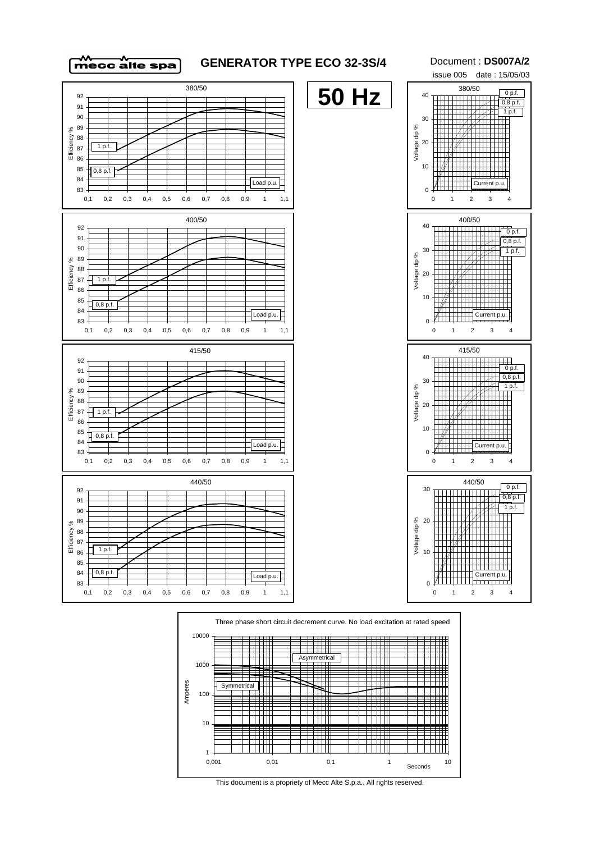

## **GENERATOR TYPE ECO 32-3S/4**

Document : **DS007A/2** issue 005 date : 15/05/03 380/50 0,8 p.f. 1 p.f.  $0 p.f.$ 





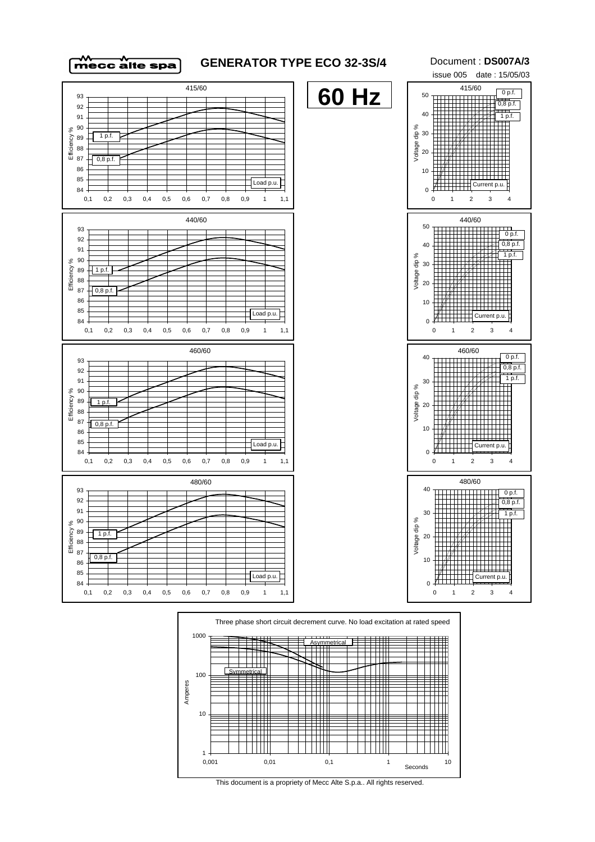

## **GENERATOR TYPE ECO 32-3S/4**

Document : **DS007A/3** issue 005 date : 15/05/03 415/60 0 p.f.





This document is a propriety of Mecc Alte S.p.a.. All rights reserved.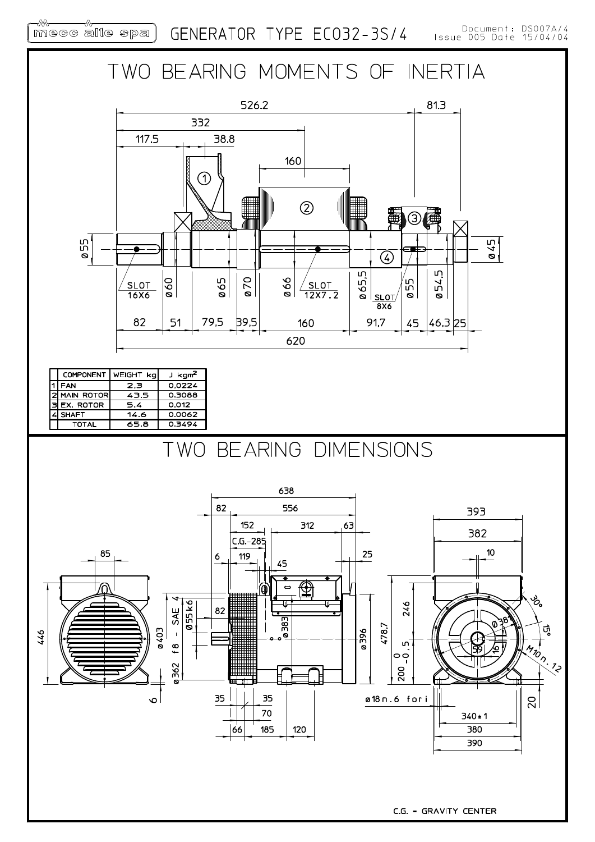